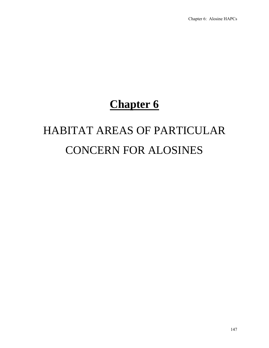## **Chapter 6**

# HABITAT AREAS OF PARTICULAR CONCERN FOR ALOSINES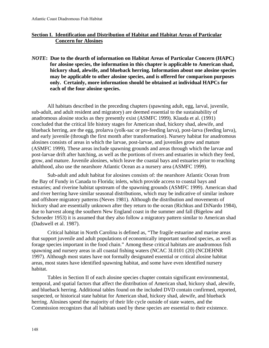### **Section I. Identification and Distribution of Habitat and Habitat Areas of Particular Concern for Alosines**

*NOTE***: Due to the dearth of information on Habitat Areas of Particular Concern (HAPC) for alosine species, the information in this chapter is applicable to American shad, hickory shad, alewife, and blueback herring. Information about one alosine species may be applicable to other alosine species, and is offered for comparison purposes only. Certainly, more information should be obtained at individual HAPCs for each of the four alosine species.** 

All habitats described in the preceding chapters (spawning adult, egg, larval, juvenile, sub-adult, and adult resident and migratory) are deemed essential to the sustainability of anadromous alosine stocks as they presently exist (ASMFC 1999). Klauda et al. (1991) concluded that the critical life history stages for American shad, hickory shad, alewife, and blueback herring, are the egg, prolarva (yolk-sac or pre-feeding larva), post-larva (feeding larva), and early juvenile (through the first month after transformation). Nursery habitat for anadromous alosines consists of areas in which the larvae, post-larvae, and juveniles grow and mature (ASMFC 1999). These areas include spawning grounds and areas through which the larvae and post-larvae drift after hatching, as well as the portions of rivers and estuaries in which they feed, grow, and mature. Juvenile alosines, which leave the coastal bays and estuaries prior to reaching adulthood, also use the nearshore Atlantic Ocean as a nursery area (ASMFC 1999).

Sub-adult and adult habitat for alosines consists of: the nearshore Atlantic Ocean from the Bay of Fundy in Canada to Florida; inlets, which provide access to coastal bays and estuaries; and riverine habitat upstream of the spawning grounds (ASMFC 1999). American shad and river herring have similar seasonal distributions, which may be indicative of similar inshore and offshore migratory patterns (Neves 1981). Although the distribution and movements of hickory shad are essentially unknown after they return to the ocean (Richkus and DiNardo 1984), due to harvest along the southern New England coast in the summer and fall (Bigelow and Schroeder 1953) it is assumed that they also follow a migratory pattern similar to American shad (Dadswell et al. 1987).

Critical habitat in North Carolina is defined as, "The fragile estuarine and marine areas that support juvenile and adult populations of economically important seafood species, as well as forage species important in the food chain." Among these critical habitats are anadromous fish spawning and nursery areas in all coastal fishing waters (NCAC 3I.0101 (20) (NCDEHNR 1997). Although most states have not formally designated essential or critical alosine habitat areas, most states have identified spawning habitat, and some have even identified nursery habitat.

Tables in Section II of each alosine species chapter contain significant environmental, temporal, and spatial factors that affect the distribution of American shad, hickory shad, alewife, and blueback herring. Additional tables found on the included DVD contain confirmed, reported, suspected, or historical state habitat for American shad, hickory shad, alewife, and blueback herring. Alosines spend the majority of their life cycle outside of state waters, and the Commission recognizes that all habitats used by these species are essential to their existence.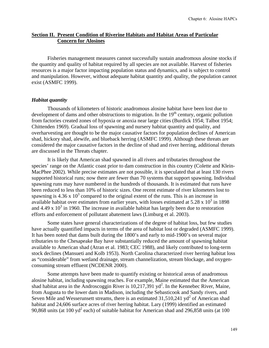#### **Section II. Present Condition of Riverine Habitats and Habitat Areas of Particular Concern for Alosines**

Fisheries management measures cannot successfully sustain anadromous alosine stocks if the quantity and quality of habitat required by all species are not available. Harvest of fisheries resources is a major factor impacting population status and dynamics, and is subject to control and manipulation. However, without adequate habitat quantity and quality, the population cannot exist (ASMFC 1999).

#### *Habitat quantity*

Thousands of kilometers of historic anadromous alosine habitat have been lost due to development of dams and other obstructions to migration. In the  $19<sup>th</sup>$  century, organic pollution from factories created zones of hypoxia or anoxia near large cities (Burdick 1954; Talbot 1954; Chittenden 1969). Gradual loss of spawning and nursery habitat quantity and quality, and overharvesting are thought to be the major causative factors for population declines of American shad, hickory shad, alewife, and blueback herring (ASMFC 1999). Although these threats are considered the major causative factors in the decline of shad and river herring, additional threats are discussed in the Threats chapter.

It is likely that American shad spawned in all rivers and tributaries throughout the species' range on the Atlantic coast prior to dam construction in this country (Colette and Klein-MacPhee 2002). While precise estimates are not possible, it is speculated that at least 130 rivers supported historical runs; now there are fewer than 70 systems that support spawning. Individual spawning runs may have numbered in the hundreds of thousands. It is estimated that runs have been reduced to less than 10% of historic sizes. One recent estimate of river kilometers lost to spawning is 4.36 x  $10^3$  compared to the original extent of the runs. This is an increase in available habitat over estimates from earlier years, with losses estimated at  $5.28 \times 10^3$  in 1898 and 4.49 x  $10^3$  in 1960. The increase in available habitat has largely been due to restoration efforts and enforcement of pollutant abatement laws (Limburg et al. 2003).

Some states have general characterizations of the degree of habitat loss, but few studies have actually quantified impacts in terms of the area of habitat lost or degraded (ASMFC 1999). It has been noted that dams built during the 1800's and early to mid-1900's on several major tributaries to the Chesapeake Bay have substantially reduced the amount of spawning habitat available to American shad (Atran et al. 1983; CEC 1988), and likely contributed to long-term stock declines (Mansueti and Kolb 1953). North Carolina characterized river herring habitat loss as "considerable" from wetland drainage, stream channelization, stream blockage, and oxygenconsuming stream effluent (NCDENR 2000).

Some attempts have been made to quantify existing or historical areas of anadromous alosine habitat, including spawning reaches. For example, Maine estimated that the American shad habitat area in the Androscoggin River is  $10,217,391$  yd<sup>2</sup>. In the Kennebec River, Maine, from Augusta to the lower dam in Madison, including the Sebasticook and Sandy rivers, and Seven Mile and Wesserunsett streams, there is an estimated  $31,510,241$  yd<sup>2</sup> of American shad habitat and 24,606 surface acres of river herring habitat. Lary (1999) identified an estimated 90,868 units (at 100 yd<sup>2</sup> each) of suitable habitat for American shad and 296,858 units (at 100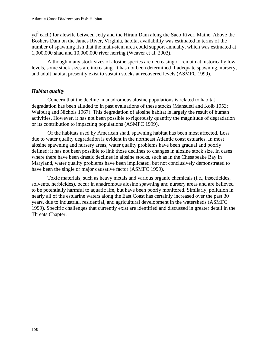$yd^2$  each) for alewife between Jetty and the Hiram Dam along the Saco River, Maine. Above the Boshers Dam on the James River, Virginia, habitat availability was estimated in terms of the number of spawning fish that the main-stem area could support annually, which was estimated at 1,000,000 shad and 10,000,000 river herring (Weaver et al. 2003).

Although many stock sizes of alosine species are decreasing or remain at historically low levels, some stock sizes are increasing. It has not been determined if adequate spawning, nursery, and adult habitat presently exist to sustain stocks at recovered levels (ASMFC 1999).

### *Habitat quality*

Concern that the decline in anadromous alosine populations is related to habitat degradation has been alluded to in past evaluations of these stocks (Mansueti and Kolb 1953; Walburg and Nichols 1967). This degradation of alosine habitat is largely the result of human activities. However, it has not been possible to rigorously quantify the magnitude of degradation or its contribution to impacting populations (ASMFC 1999).

Of the habitats used by American shad, spawning habitat has been most affected. Loss due to water quality degradation is evident in the northeast Atlantic coast estuaries. In most alosine spawning and nursery areas, water quality problems have been gradual and poorly defined; it has not been possible to link those declines to changes in alosine stock size. In cases where there have been drastic declines in alosine stocks, such as in the Chesapeake Bay in Maryland, water quality problems have been implicated, but not conclusively demonstrated to have been the single or major causative factor (ASMFC 1999).

Toxic materials, such as heavy metals and various organic chemicals (i.e., insecticides, solvents, herbicides), occur in anadromous alosine spawning and nursery areas and are believed to be potentially harmful to aquatic life, but have been poorly monitored. Similarly, pollution in nearly all of the estuarine waters along the East Coast has certainly increased over the past 30 years, due to industrial, residential, and agricultural development in the watersheds (ASMFC 1999). Specific challenges that currently exist are identified and discussed in greater detail in the Threats Chapter.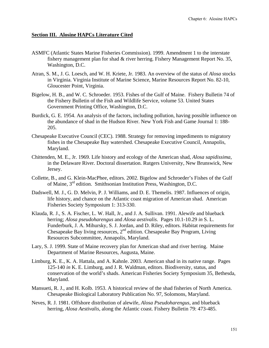#### **Section III. Alosine HAPCs Literature Cited**

- ASMFC (Atlantic States Marine Fisheries Commission). 1999. Amendment 1 to the interstate fishery management plan for shad & river herring. Fishery Management Report No. 35, Washington, D.C.
- Atran, S. M., J. G. Loesch, and W. H. Kriete, Jr. 1983. An overview of the status of *Alosa* stocks in Virginia. Virginia Institute of Marine Science, Marine Resources Report No. 82-10, Gloucester Point, Virginia.
- Bigelow, H. B., and W. C. Schroeder. 1953. Fishes of the Gulf of Maine. Fishery Bulletin 74 of the Fishery Bulletin of the Fish and Wildlife Service, volume 53. United States Government Printing Office, Washington, D.C.
- Burdick, G. E. 1954. An analysis of the factors, including pollution, having possible influence on the abundance of shad in the Hudson River. New York Fish and Game Journal 1: 188- 205.
- Chesapeake Executive Council (CEC). 1988. Strategy for removing impediments to migratory fishes in the Chesapeake Bay watershed. Chesapeake Executive Council, Annapolis, Maryland.
- Chittenden, M. E., Jr. 1969. Life history and ecology of the American shad, *Alosa sapidissima*, in the Delaware River. Doctoral dissertation. Rutgers University, New Brunswick, New Jersey.
- Collette, B., and G. Klein-MacPhee, editors. 2002. Bigelow and Schroeder's Fishes of the Gulf of Maine, 3rd edition. Smithsonian Institution Press, Washington, D.C.
- Dadswell, M. J., G. D. Melvin, P. J. Williams, and D. E. Themelis. 1987. Influences of origin, life history, and chance on the Atlantic coast migration of American shad. American Fisheries Society Symposium 1: 313-330.
- Klauda, R. J., S. A. Fischer, L. W. Hall, Jr., and J. A. Sullivan. 1991. Alewife and blueback herring; *Alosa pseudoharengus* and *Alosa aestivalis*. Pages 10.1-10.29 *in* S. L. Funderburk, J. A. Mihursky, S. J. Jordan, and D. Riley, editors. Habitat requirements for Chesapeake Bay living resources,  $2<sup>nd</sup>$  edition. Chesapeake Bay Program, Living Resources Subcommittee, Annapolis, Maryland.
- Lary, S. J. 1999. State of Maine recovery plan for American shad and river herring. Maine Department of Marine Resources, Augusta, Maine.
- Limburg, K. E., K. A. Hattala, and A. Kahnle. 2003. American shad in its native range. Pages 125-140 *in* K. E. Limburg, and J. R. Waldman, editors. Biodiversity, status, and conservation of the world's shads. American Fisheries Society Symposium 35, Bethesda, Maryland.
- Mansueti, R. J., and H. Kolb. 1953. A historical review of the shad fisheries of North America. Chesapeake Biological Laboratory Publication No. 97, Solomons, Maryland.
- Neves, R. J. 1981. Offshore distribution of alewife, *Alosa Pseudoharengus*, and blueback herring, *Alosa Aestivalis*, along the Atlantic coast. Fishery Bulletin 79: 473-485.